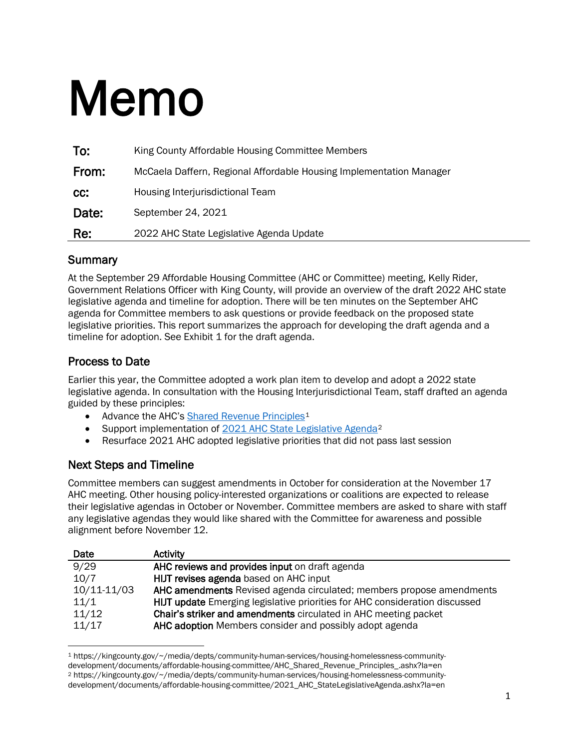# Memo

| To:   | King County Affordable Housing Committee Members                    |
|-------|---------------------------------------------------------------------|
| From: | McCaela Daffern, Regional Affordable Housing Implementation Manager |
| CC:   | Housing Interjurisdictional Team                                    |
| Date: | September 24, 2021                                                  |
| Re:   | 2022 AHC State Legislative Agenda Update                            |

#### **Summary**

At the September 29 Affordable Housing Committee (AHC or Committee) meeting, Kelly Rider, Government Relations Officer with King County, will provide an overview of the draft 2022 AHC state legislative agenda and timeline for adoption. There will be ten minutes on the September AHC agenda for Committee members to ask questions or provide feedback on the proposed state legislative priorities. This report summarizes the approach for developing the draft agenda and a timeline for adoption. See Exhibit 1 for the draft agenda.

## Process to Date

Earlier this year, the Committee adopted a work plan item to develop and adopt a 2022 state legislative agenda. In consultation with the Housing Interjurisdictional Team, staff drafted an agenda guided by these principles:

- Advance the AHC's [Shared Revenue Principles](https://kingcounty.gov/%7E/media/depts/community-human-services/housing-homelessness-community-development/documents/affordable-housing-committee/AHC_Shared_Revenue_Principles_.ashx?la=en)<sup>[1](#page-0-0)</sup>
- Support implementation of [2021 AHC State Legislative Agenda](https://kingcounty.gov/%7E/media/depts/community-human-services/housing-homelessness-community-development/documents/affordable-housing-committee/2021_AHC_StateLegislativeAgenda.ashx?la=en)<sup>[2](#page-0-1)</sup>
- Resurface 2021 AHC adopted legislative priorities that did not pass last session

## Next Steps and Timeline

Committee members can suggest amendments in October for consideration at the November 17 AHC meeting. Other housing policy-interested organizations or coalitions are expected to release their legislative agendas in October or November. Committee members are asked to share with staff any legislative agendas they would like shared with the Committee for awareness and possible alignment before November 12.

| Date        | <b>Activity</b>                                                             |
|-------------|-----------------------------------------------------------------------------|
| 9/29        | AHC reviews and provides input on draft agenda                              |
| 10/7        | HIJT revises agenda based on AHC input                                      |
| 10/11-11/03 | AHC amendments Revised agenda circulated; members propose amendments        |
| 11/1        | HIJT update Emerging legislative priorities for AHC consideration discussed |
| 11/12       | Chair's striker and amendments circulated in AHC meeting packet             |
| 11/17       | AHC adoption Members consider and possibly adopt agenda                     |

<span id="page-0-1"></span><span id="page-0-0"></span><sup>1</sup> https://kingcounty.gov/~/media/depts/community-human-services/housing-homelessness-communitydevelopment/documents/affordable-housing-committee/AHC\_Shared\_Revenue\_Principles\_.ashx?la=en <sup>2</sup> https://kingcounty.gov/~/media/depts/community-human-services/housing-homelessness-communitydevelopment/documents/affordable-housing-committee/2021\_AHC\_StateLegislativeAgenda.ashx?la=en